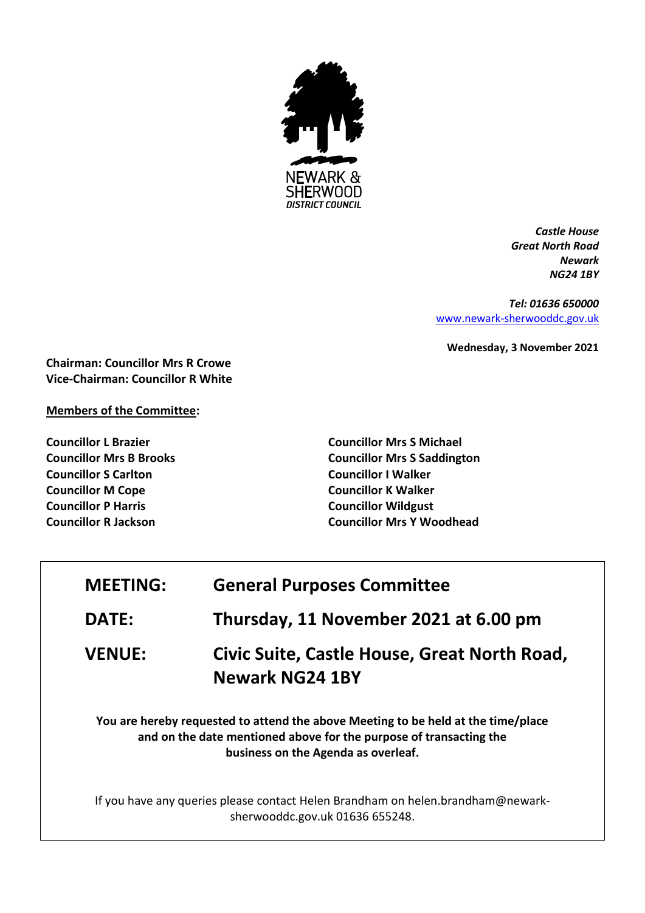

*Castle House Great North Road Newark NG24 1BY*

*Tel: 01636 650000* [www.newark-sherwooddc.gov.uk](http://www.newark-sherwooddc.gov.uk/)

**Wednesday, 3 November 2021**

**Chairman: Councillor Mrs R Crowe Vice-Chairman: Councillor R White**

## **Members of the Committee:**

**Councillor L Brazier Councillor Mrs B Brooks Councillor S Carlton Councillor M Cope Councillor P Harris Councillor R Jackson**

**Councillor Mrs S Michael Councillor Mrs S Saddington Councillor I Walker Councillor K Walker Councillor Wildgust Councillor Mrs Y Woodhead**

| <b>MEETING:</b>                                                                                                                                                                                | <b>General Purposes Committee</b>                                                                                  |  |
|------------------------------------------------------------------------------------------------------------------------------------------------------------------------------------------------|--------------------------------------------------------------------------------------------------------------------|--|
| <b>DATE:</b>                                                                                                                                                                                   | Thursday, 11 November 2021 at 6.00 pm                                                                              |  |
| <b>VENUE:</b>                                                                                                                                                                                  | Civic Suite, Castle House, Great North Road,<br><b>Newark NG24 1BY</b>                                             |  |
| You are hereby requested to attend the above Meeting to be held at the time/place<br>and on the date mentioned above for the purpose of transacting the<br>business on the Agenda as overleaf. |                                                                                                                    |  |
|                                                                                                                                                                                                | If you have any queries please contact Helen Brandham on helen.brandham@newark-<br>sherwooddc.gov.uk 01636 655248. |  |